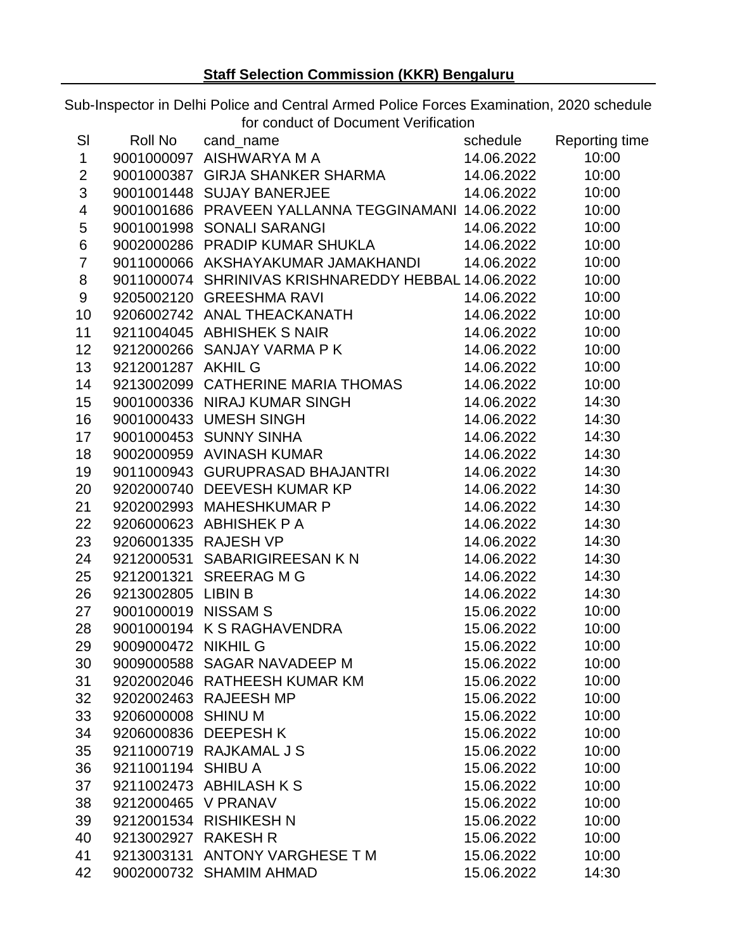Sub-Inspector in Delhi Police and Central Armed Police Forces Examination, 2020 schedule for conduct of Document Verification

|                         |                     | 0110001 01 DOOGHTOTIL VOITIIOQHOT                                                                                                                                                                                                                         |            |       |
|-------------------------|---------------------|-----------------------------------------------------------------------------------------------------------------------------------------------------------------------------------------------------------------------------------------------------------|------------|-------|
| SI                      |                     | Roll No cand_name<br>9001000097 AISHWARYA M A<br>9001000387 GIRJA SHANKER SHARMA<br>9001001448 SUJAY BANERJEE<br>9001001448 SUJAY BANERJEE<br>9001001448 SUJAY BANERJEE<br>9001001448 SUJAY BANERJEE<br>9001001448 SUJAY BANERJEE<br>900100144            |            |       |
| $\mathbf{1}$            |                     |                                                                                                                                                                                                                                                           |            |       |
| $\overline{2}$          |                     |                                                                                                                                                                                                                                                           |            |       |
| 3                       |                     |                                                                                                                                                                                                                                                           |            |       |
| $\overline{\mathbf{4}}$ |                     | 9001001686 PRAVEEN YALLANNA TEGGINAMANI 14.06.2022                                                                                                                                                                                                        |            | 10:00 |
| 5                       |                     |                                                                                                                                                                                                                                                           |            | 10:00 |
| 6                       |                     |                                                                                                                                                                                                                                                           |            | 10:00 |
| $\overline{7}$          |                     | 9011000066 AKSHAYAKUMAR JAMAKHANDI 14.06.2022                                                                                                                                                                                                             |            | 10:00 |
| 8                       |                     | 9011000074 SHRINIVAS KRISHNAREDDY HEBBAL 14.06.2022                                                                                                                                                                                                       |            | 10:00 |
| 9                       |                     |                                                                                                                                                                                                                                                           |            | 10:00 |
| 10                      |                     |                                                                                                                                                                                                                                                           |            | 10:00 |
| 11                      |                     |                                                                                                                                                                                                                                                           |            | 10:00 |
| 12                      |                     | 9011000074<br>9205002120 GREESHMA RAVI 14.06.2022<br>9206002742 ANAL THEACKANATH 14.06.2022<br>9211004045 ABHISHEK S NAIR 14.06.2022<br>9212000266 SANJAY VARMA P K 14.06.2022<br>9212001287 AKHIL G 14.06.2022                                           |            | 10:00 |
| 13                      |                     |                                                                                                                                                                                                                                                           |            | 10:00 |
| 14                      |                     | 9213002099 CATHERINE MARIA THOMAS 14.06.2022                                                                                                                                                                                                              |            | 10:00 |
| 15                      |                     |                                                                                                                                                                                                                                                           |            | 14:30 |
| 16                      |                     |                                                                                                                                                                                                                                                           |            | 14:30 |
| 17                      |                     | 9001000336 NIRAJ KUMAR SINGH<br>9001000433 UMESH SINGH<br>9001000453 SUNNY SINHA<br>9002000959 AVINASH KUMAR 14.06.2022<br>14.06.2022<br>14.06.2022                                                                                                       |            | 14:30 |
| 18                      |                     |                                                                                                                                                                                                                                                           |            | 14:30 |
| 19                      |                     | 9011000943 GURUPRASAD BHAJANTRI 14.06.2022                                                                                                                                                                                                                |            | 14:30 |
| 20                      |                     | 9011000943 GURUPRASAD BHAJANTRI<br>9202000740 DEEVESH KUMAR KP<br>9202002993 MAHESHKUMAR P<br>9206000623 ABHISHEK P A<br>9206001335 RAJESH VP<br>9212000531 SABARIGIREESAN K N<br>9212001321 SREERAG M G<br>9213002805 LIBIN B<br>900100019 NISSAM S<br>9 | 14.06.2022 | 14:30 |
| 21                      |                     |                                                                                                                                                                                                                                                           | 14.06.2022 | 14:30 |
| 22                      |                     |                                                                                                                                                                                                                                                           | 14.06.2022 | 14:30 |
| 23                      |                     |                                                                                                                                                                                                                                                           | 14.06.2022 | 14:30 |
| 24                      |                     |                                                                                                                                                                                                                                                           | 14.06.2022 | 14:30 |
| 25                      |                     |                                                                                                                                                                                                                                                           | 14.06.2022 | 14:30 |
| 26                      |                     |                                                                                                                                                                                                                                                           | 14.06.2022 | 14:30 |
| 27                      |                     |                                                                                                                                                                                                                                                           | 15.06.2022 | 10:00 |
| 28                      |                     |                                                                                                                                                                                                                                                           | 15.06.2022 | 10:00 |
| 29                      |                     |                                                                                                                                                                                                                                                           | 15.06.2022 | 10:00 |
| 30                      |                     |                                                                                                                                                                                                                                                           | 15.06.2022 | 10:00 |
| 31                      |                     | 9202002046 RATHEESH KUMAR KM                                                                                                                                                                                                                              | 15.06.2022 | 10:00 |
| 32                      |                     | 9202002463 RAJEESH MP                                                                                                                                                                                                                                     | 15.06.2022 | 10:00 |
| 33                      | 9206000008 SHINU M  |                                                                                                                                                                                                                                                           | 15.06.2022 | 10:00 |
| 34                      |                     | 9206000836 DEEPESH K                                                                                                                                                                                                                                      | 15.06.2022 | 10:00 |
| 35                      |                     | 9211000719 RAJKAMAL J S                                                                                                                                                                                                                                   | 15.06.2022 | 10:00 |
| 36                      | 9211001194 SHIBU A  |                                                                                                                                                                                                                                                           | 15.06.2022 | 10:00 |
| 37                      |                     | 9211002473 ABHILASH KS                                                                                                                                                                                                                                    | 15.06.2022 | 10:00 |
| 38                      | 9212000465 V PRANAV |                                                                                                                                                                                                                                                           | 15.06.2022 | 10:00 |
| 39                      |                     | 9212001534 RISHIKESH N                                                                                                                                                                                                                                    | 15.06.2022 | 10:00 |
| 40                      | 9213002927 RAKESH R |                                                                                                                                                                                                                                                           | 15.06.2022 | 10:00 |
| 41                      |                     | 9213003131 ANTONY VARGHESE TM                                                                                                                                                                                                                             | 15.06.2022 | 10:00 |
| 42                      |                     | 9002000732 SHAMIM AHMAD                                                                                                                                                                                                                                   | 15.06.2022 | 14:30 |
|                         |                     |                                                                                                                                                                                                                                                           |            |       |